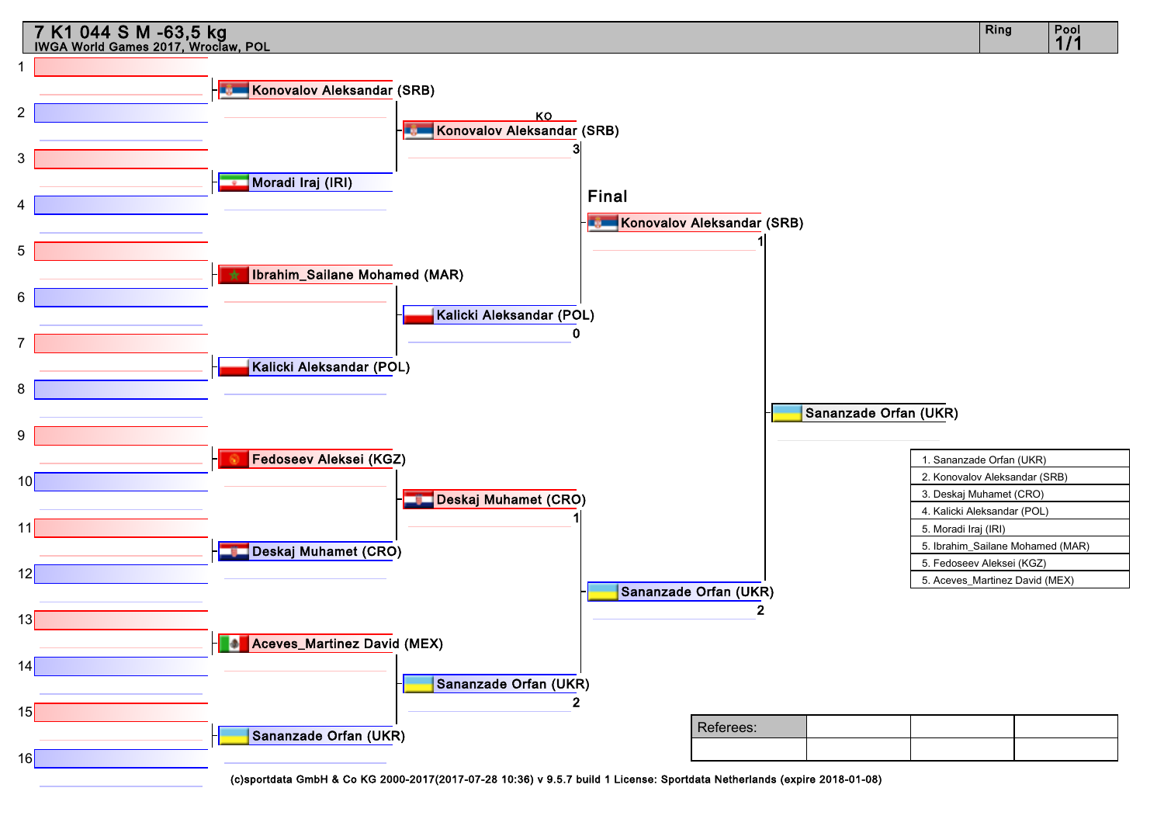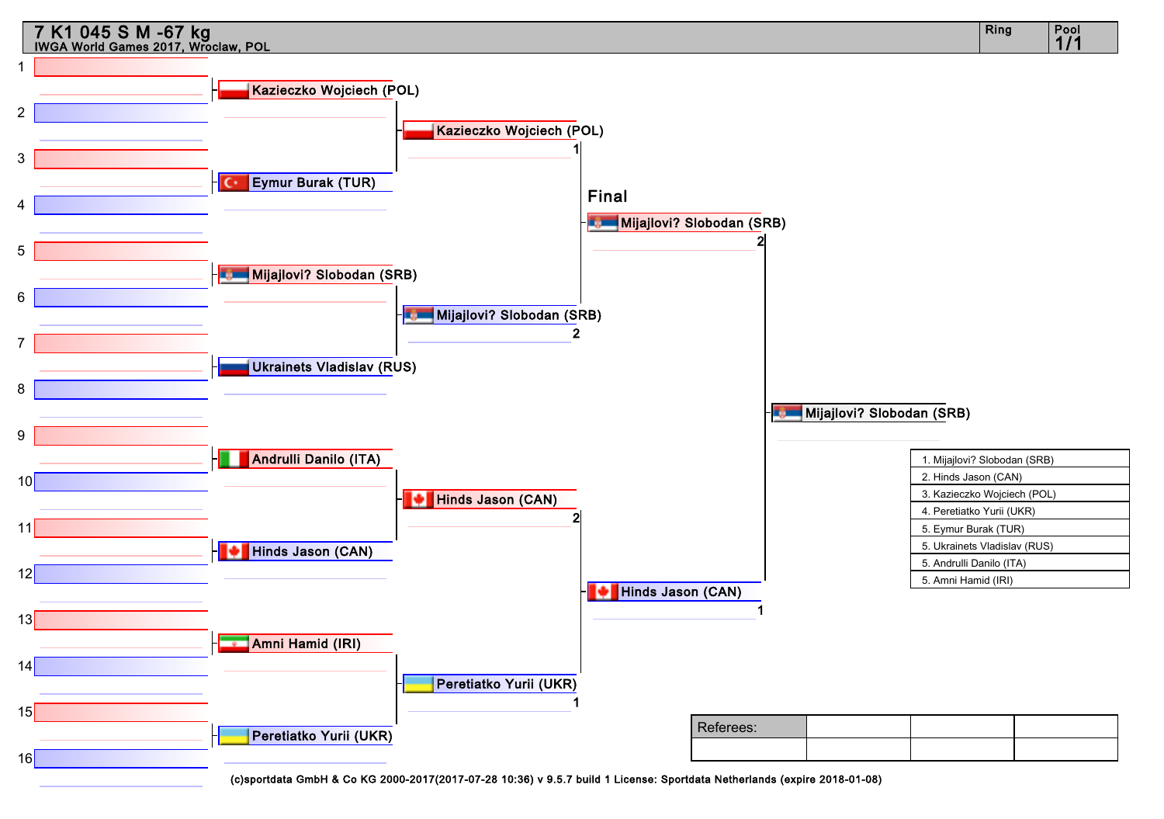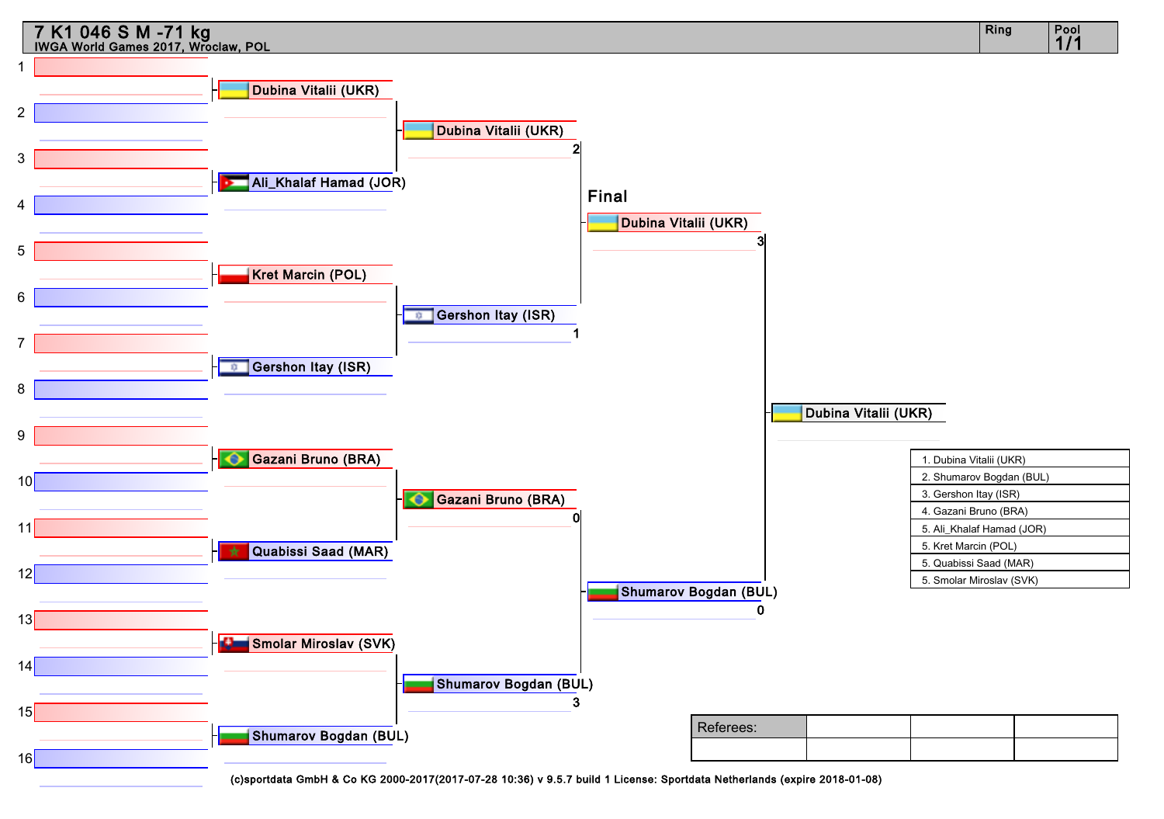![](_page_2_Figure_0.jpeg)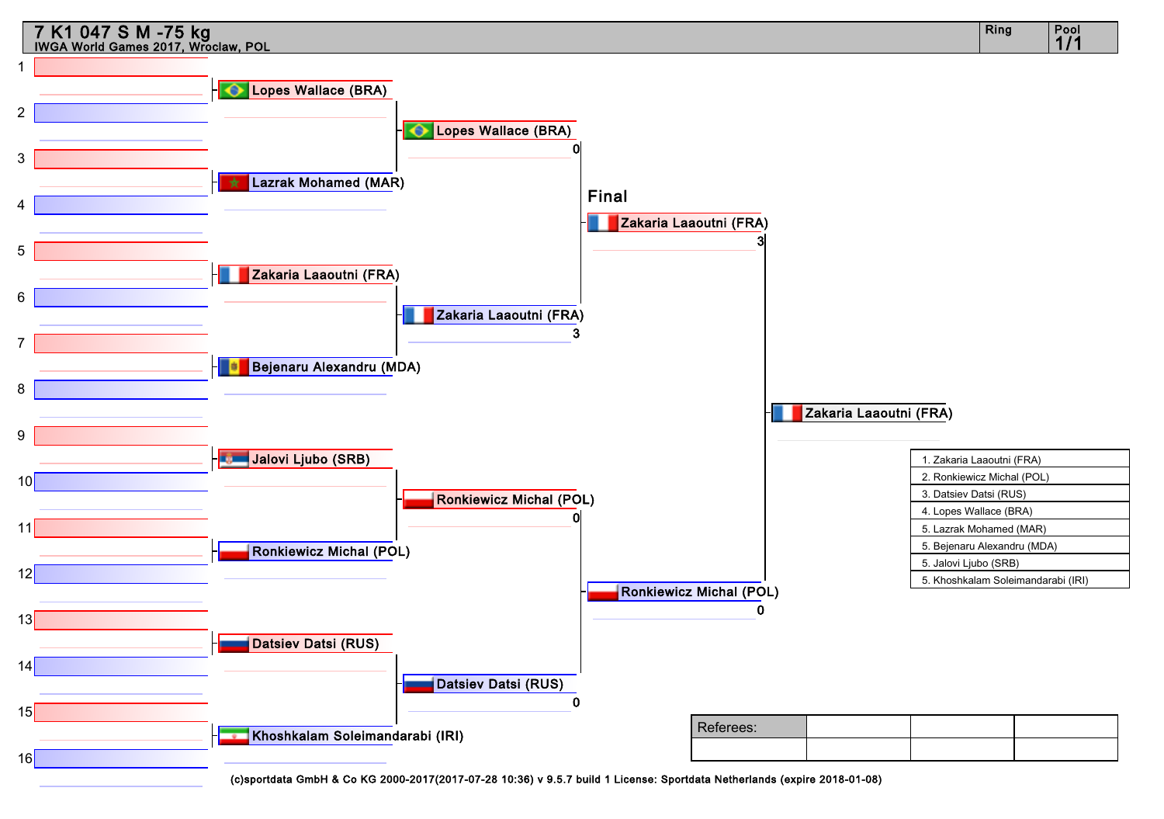![](_page_3_Figure_0.jpeg)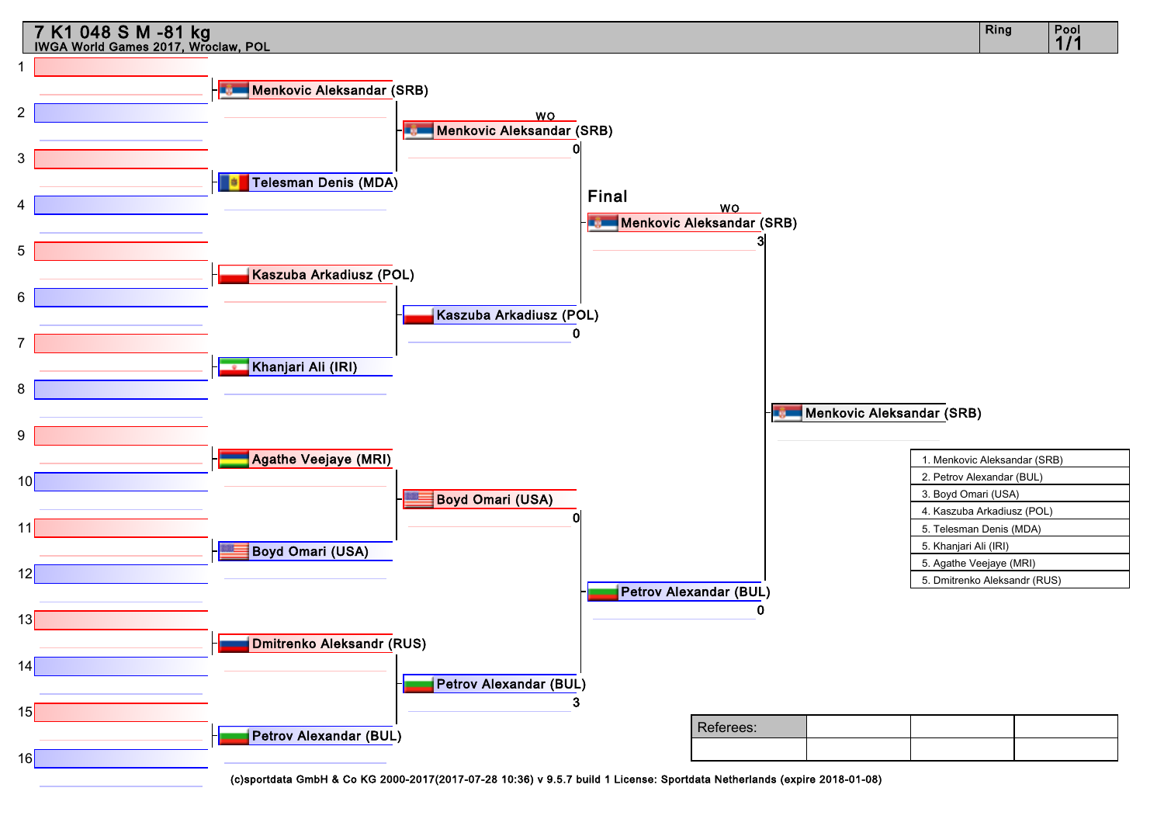![](_page_4_Figure_0.jpeg)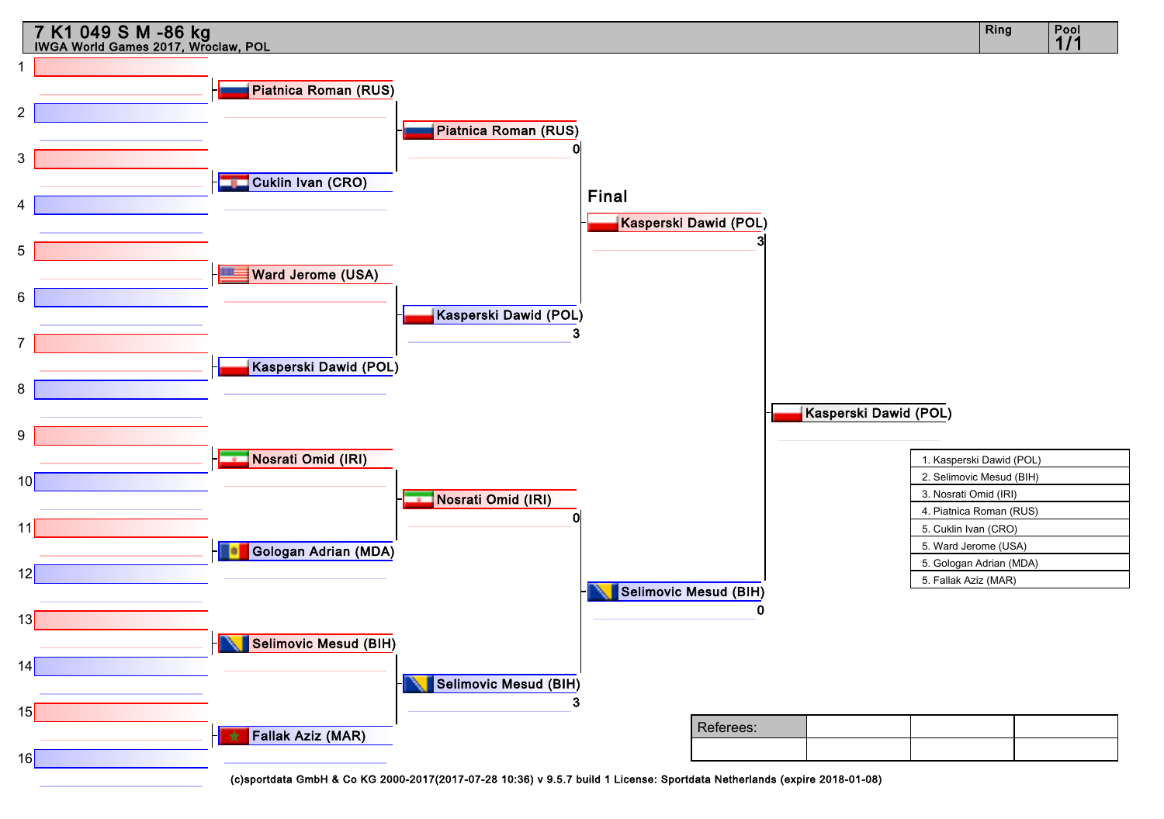![](_page_5_Figure_0.jpeg)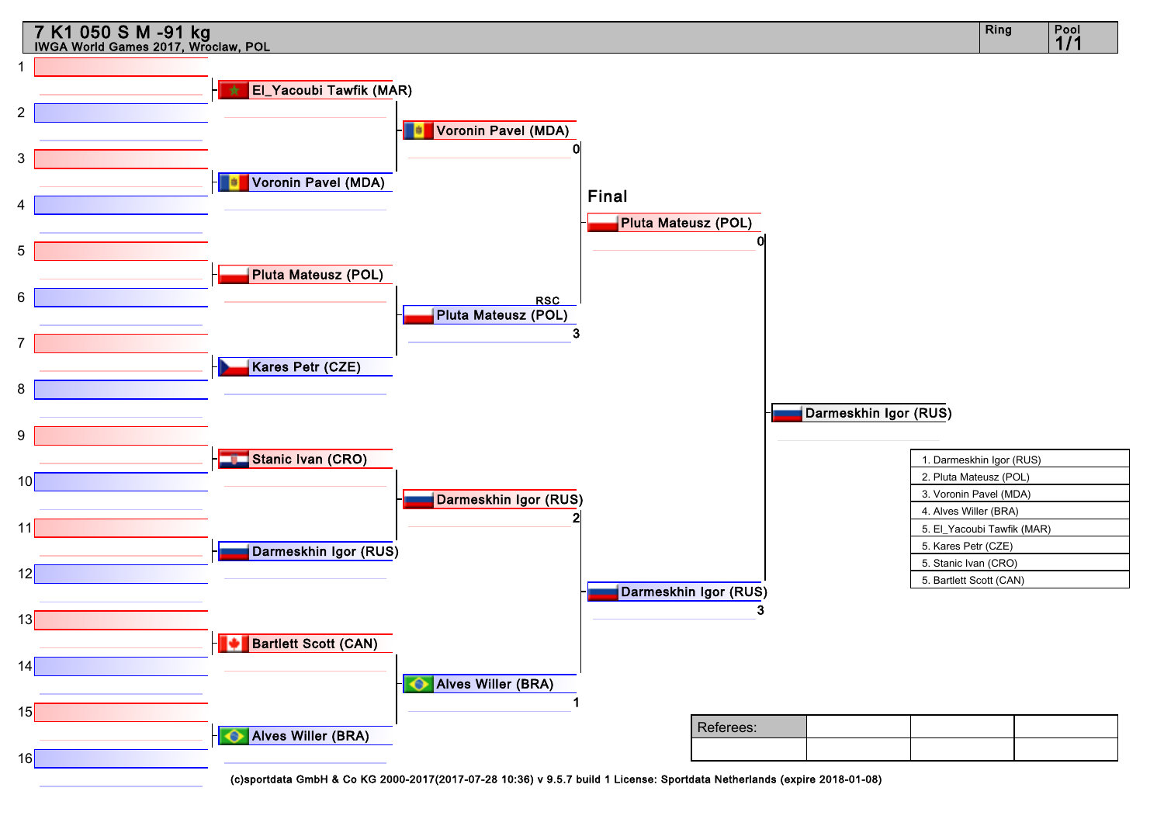![](_page_6_Figure_0.jpeg)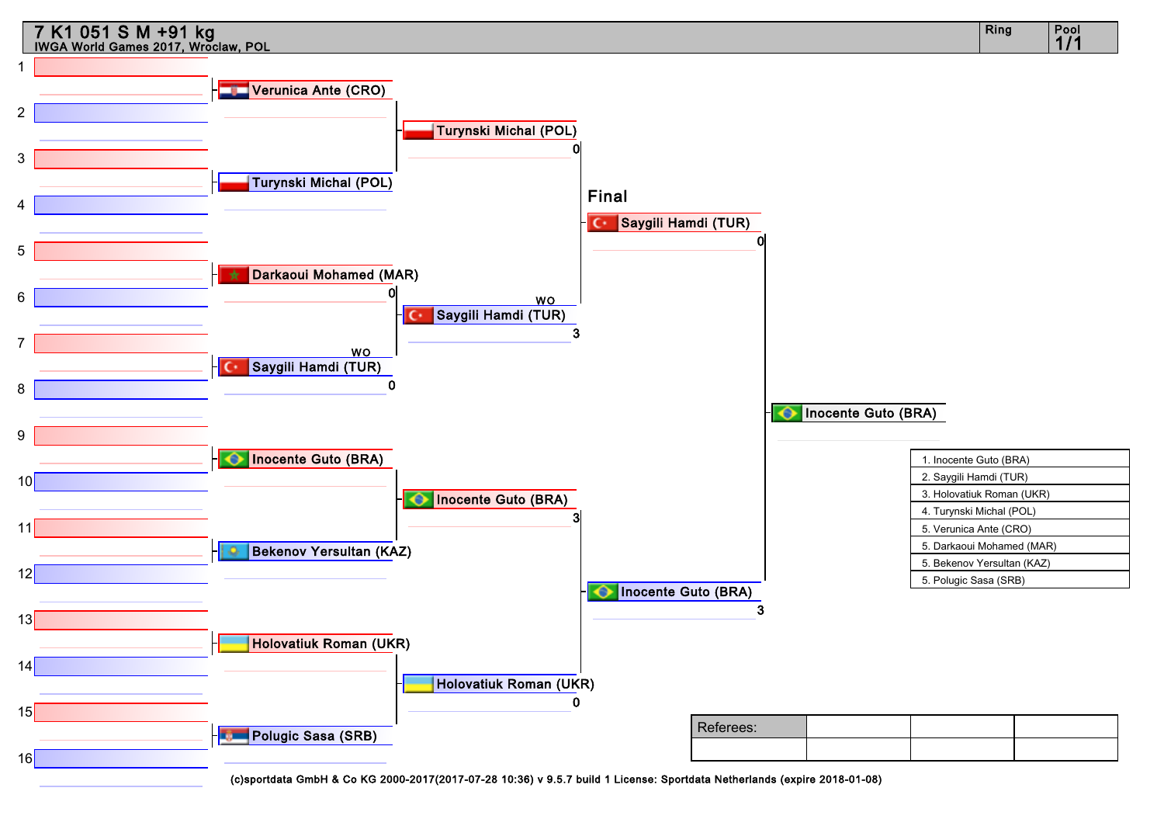![](_page_7_Figure_0.jpeg)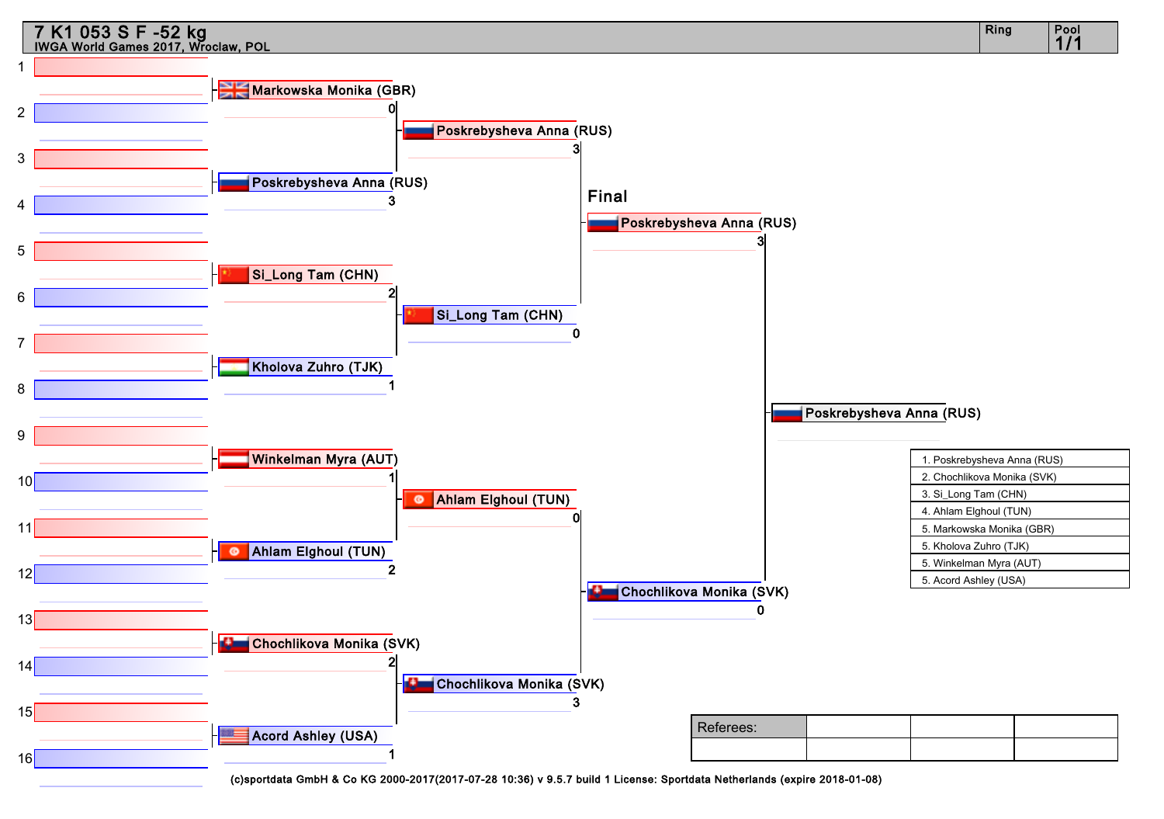![](_page_8_Figure_0.jpeg)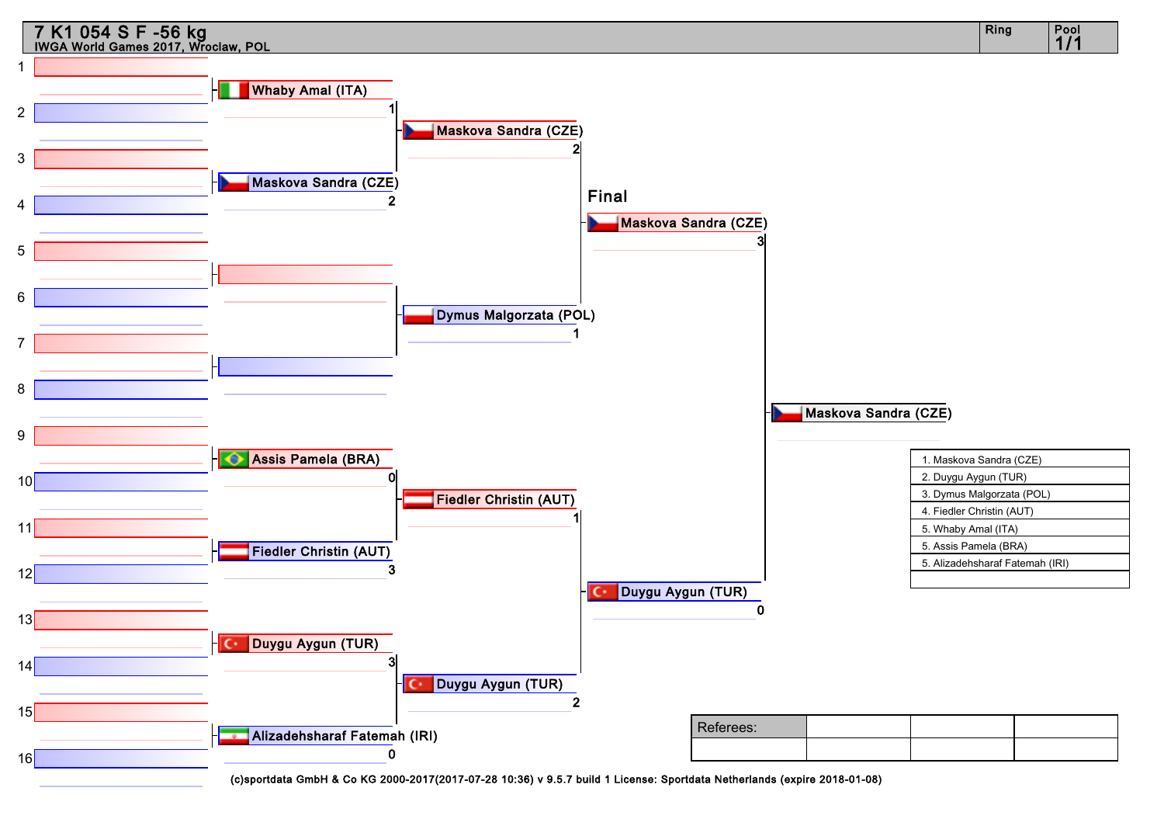![](_page_9_Figure_0.jpeg)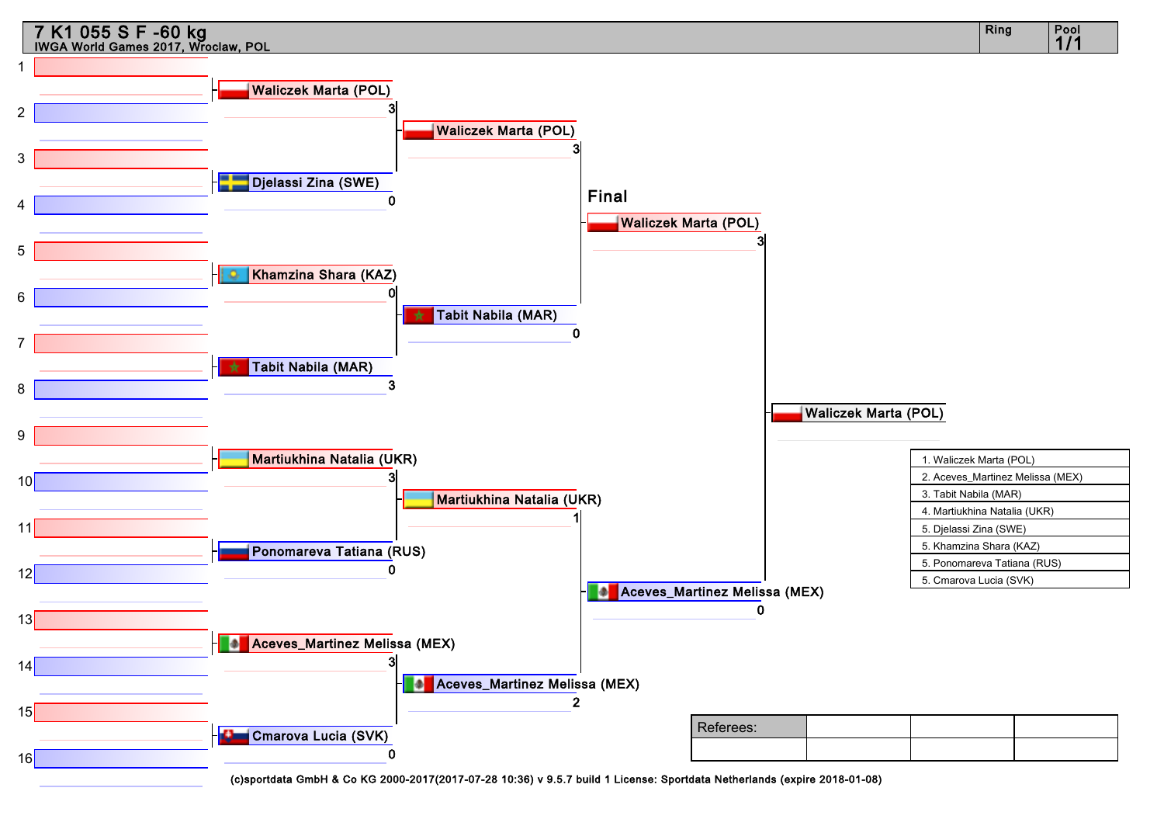![](_page_10_Figure_0.jpeg)